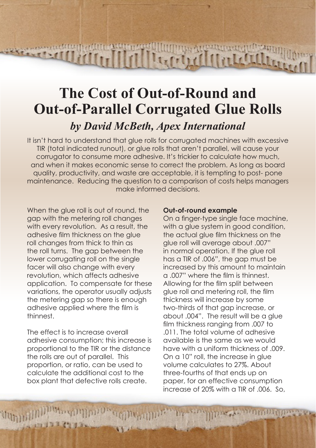# **The Cost of Out-of-Round and Out-of-Parallel Corrugated Glue Rolls** *by David McBeth, Apex International*

 $\left[\prod_{i=1}^{n} \prod_{i=1}^{n} \prod_{i=1}^{n} \prod_{i=1}^{n} \prod_{i=1}^{n} \prod_{i=1}^{n} \prod_{i=1}^{n} \prod_{i=1}^{n} \prod_{i=1}^{n} \prod_{i=1}^{n} \prod_{i=1}^{n} \prod_{i=1}^{n} \prod_{i=1}^{n} \prod_{i=1}^{n} \prod_{i=1}^{n} \prod_{i=1}^{n} \prod_{i=1}^{n} \prod_{i=1}^{n} \prod_{i=1}^{n} \prod_{i=1}^{n} \prod_{i=1}^{n} \prod_{i=1}^{$ 

**REACTOR AND RELEASED FOR THE** 

It isn't hard to understand that glue rolls for corrugated machines with excessive TIR (total indicated runout), or glue rolls that aren't parallel, will cause your corrugator to consume more adhesive. It's trickier to calculate how much, and when it makes economic sense to correct the problem. As long as board quality, productivity, and waste are acceptable, it is tempting to post- pone maintenance. Reducing the question to a comparison of costs helps managers make informed decisions.

When the glue roll is out of round, the gap with the metering roll changes with every revolution. As a result, the adhesive film thickness on the glue roll changes from thick to thin as the roll turns. The gap between the lower corrugating roll on the single facer will also change with every revolution, which affects adhesive application. To compensate for these variations, the operator usually adjusts the metering gap so there is enough adhesive applied where the film is thinnest.

The effect is to increase overall adhesive consumption; this increase is proportional to the TIR or the distance the rolls are out of parallel. This proportion, or ratio, can be used to calculate the additional cost to the box plant that defective rolls create.

### **Out-of-round example**

**HIGH ALCOMMON AT AND** 

On a finger-type single face machine, with a glue system in good condition. the actual glue film thickness on the glue roll will average about .007" in normal operation. If the glue roll has a TIR of .006", the gap must be increased by this amount to maintain a .007" where the film is thinnest. Allowing for the film split between glue roll and metering roll, the film thickness will increase by some two-thirds of that gap increase, or about .004". The result will be a glue film thickness ranging from .007 to 011. The total volume of adhesive available is the same as we would have with a uniform thickness of .009. On a 10" roll, the increase in glue volume calculates to 27%. About three-fourths of that ends up on paper, for an effective consumption increase of 20% with a TIR of .006. So,